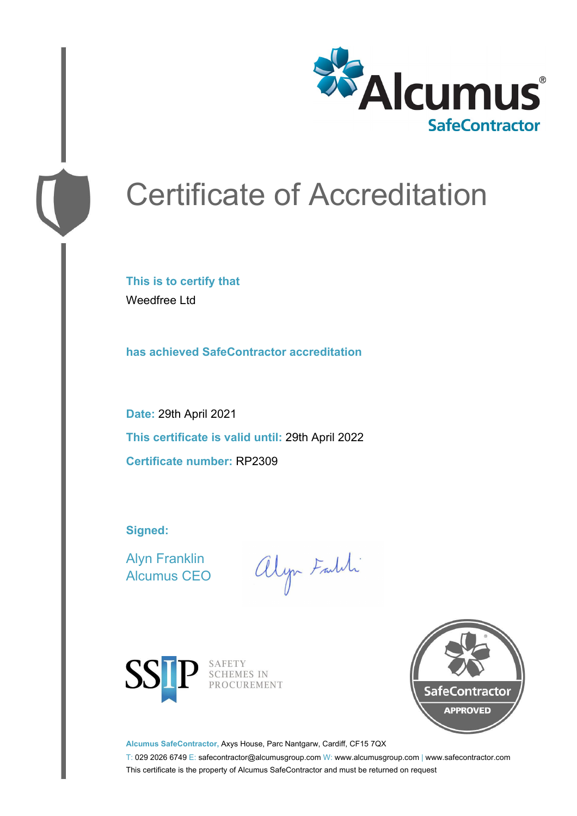

# Certificate of Accreditation

**This is to certify that** Weedfree Ltd

**has achieved SafeContractor accreditation**

**Date:** 29th April 2021 **This certificate is valid until:** 29th April 2022 **Certificate number:** RP2309

**Signed:**

Alyn Franklin Alcumus CEO

alyn Faith



SAFETY<br>SCHEMES IN PROCUREMENT



**Alcumus SafeContractor,** Axys House, Parc Nantgarw, Cardiff, CF15 7QX

T: 029 2026 6749 E: safecontractor@alcumusgroup.com W: www.alcumusgroup.com | www.safecontractor.com This certificate is the property of Alcumus SafeContractor and must be returned on request